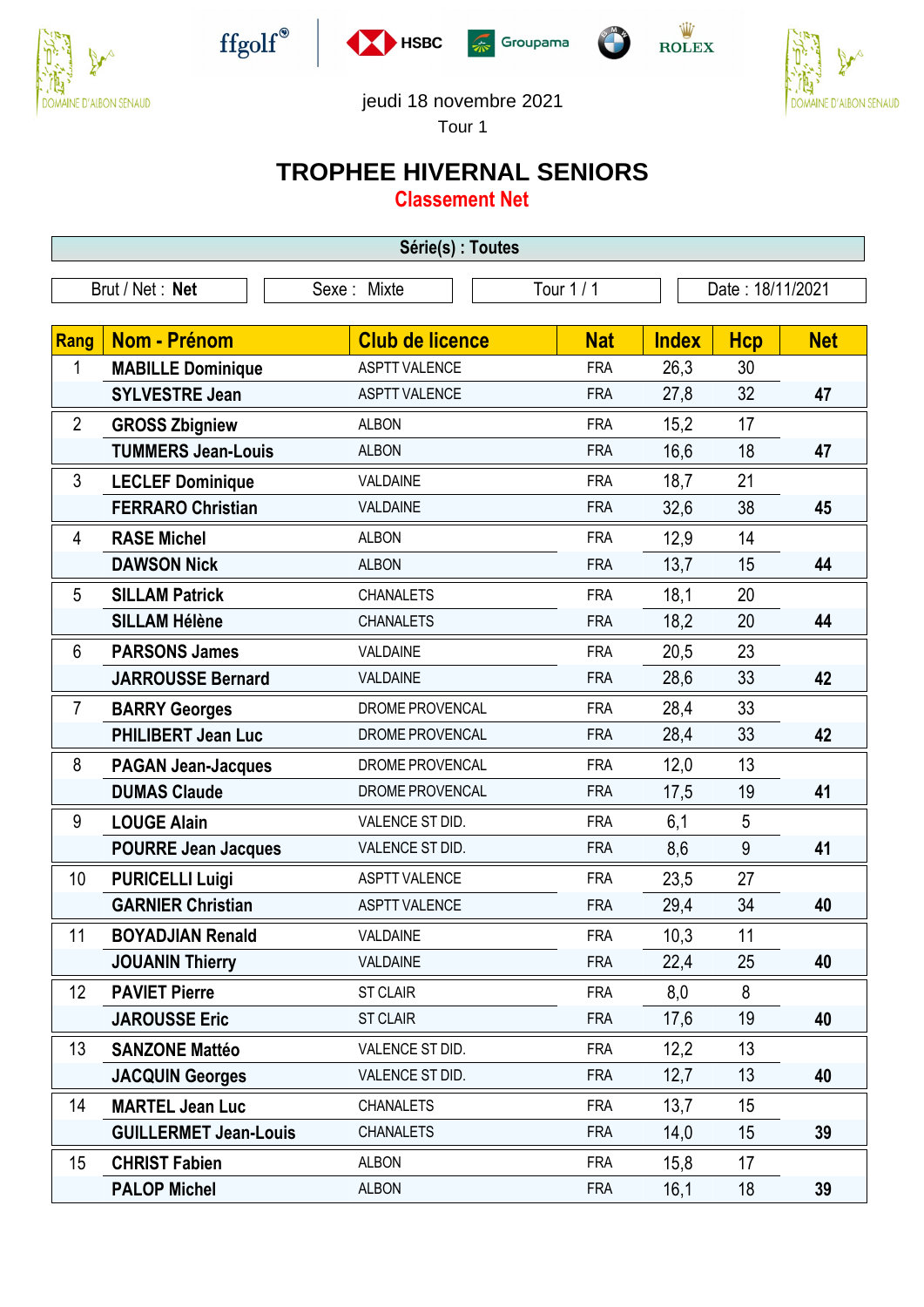











jeudi 18 novembre 2021

Tour 1

## **TROPHEE HIVERNAL SENIORS**

**Classement Net**

| Série(s) : Toutes |                              |                        |            |                  |            |            |  |
|-------------------|------------------------------|------------------------|------------|------------------|------------|------------|--|
| Brut / Net: Net   |                              | Sexe: Mixte            | Tour 1 / 1 | Date: 18/11/2021 |            |            |  |
| Rang              | <b>Nom - Prénom</b>          | <b>Club de licence</b> | <b>Nat</b> | <b>Index</b>     | <b>Hcp</b> | <b>Net</b> |  |
| 1                 | <b>MABILLE Dominique</b>     | <b>ASPTT VALENCE</b>   | <b>FRA</b> | 26,3             | 30         |            |  |
|                   | <b>SYLVESTRE Jean</b>        | <b>ASPTT VALENCE</b>   | <b>FRA</b> | 27,8             | 32         | 47         |  |
| $\overline{2}$    | <b>GROSS Zbigniew</b>        | <b>ALBON</b>           | <b>FRA</b> | 15,2             | 17         |            |  |
|                   | <b>TUMMERS Jean-Louis</b>    | <b>ALBON</b>           | <b>FRA</b> | 16,6             | 18         | 47         |  |
| 3                 | <b>LECLEF Dominique</b>      | VALDAINE               | <b>FRA</b> | 18,7             | 21         |            |  |
|                   | <b>FERRARO Christian</b>     | VALDAINE               | <b>FRA</b> | 32,6             | 38         | 45         |  |
| 4                 | <b>RASE Michel</b>           | <b>ALBON</b>           | <b>FRA</b> | 12,9             | 14         |            |  |
|                   | <b>DAWSON Nick</b>           | <b>ALBON</b>           | <b>FRA</b> | 13,7             | 15         | 44         |  |
| 5                 | <b>SILLAM Patrick</b>        | <b>CHANALETS</b>       | <b>FRA</b> | 18,1             | 20         |            |  |
|                   | <b>SILLAM Hélène</b>         | <b>CHANALETS</b>       | <b>FRA</b> | 18,2             | 20         | 44         |  |
| 6                 | <b>PARSONS James</b>         | VALDAINE               | <b>FRA</b> | 20,5             | 23         |            |  |
|                   | <b>JARROUSSE Bernard</b>     | VALDAINE               | <b>FRA</b> | 28,6             | 33         | 42         |  |
| 7                 | <b>BARRY Georges</b>         | DROME PROVENCAL        | <b>FRA</b> | 28,4             | 33         |            |  |
|                   | <b>PHILIBERT Jean Luc</b>    | DROME PROVENCAL        | <b>FRA</b> | 28,4             | 33         | 42         |  |
| 8                 | <b>PAGAN Jean-Jacques</b>    | DROME PROVENCAL        | <b>FRA</b> | 12,0             | 13         |            |  |
|                   | <b>DUMAS Claude</b>          | DROME PROVENCAL        | <b>FRA</b> | 17,5             | 19         | 41         |  |
| 9                 | <b>LOUGE Alain</b>           | VALENCE ST DID.        | <b>FRA</b> | 6,1              | 5          |            |  |
|                   | <b>POURRE Jean Jacques</b>   | VALENCE ST DID.        | <b>FRA</b> | 8,6              | 9          | 41         |  |
| 10                | <b>PURICELLI Luigi</b>       | <b>ASPTT VALENCE</b>   | <b>FRA</b> | 23,5             | 27         |            |  |
|                   | <b>GARNIER Christian</b>     | <b>ASPTT VALENCE</b>   | <b>FRA</b> | 29,4             | 34         | 40         |  |
| 11                | <b>BOYADJIAN Renald</b>      | VALDAINE               | <b>FRA</b> | 10,3             | 11         |            |  |
|                   | <b>JOUANIN Thierry</b>       | VALDAINE               | <b>FRA</b> | 22,4             | 25         | 40         |  |
| 12                | <b>PAVIET Pierre</b>         | <b>ST CLAIR</b>        | <b>FRA</b> | 8,0              | 8          |            |  |
|                   | <b>JAROUSSE Eric</b>         | <b>ST CLAIR</b>        | <b>FRA</b> | 17,6             | 19         | 40         |  |
| 13                | <b>SANZONE Mattéo</b>        | VALENCE ST DID.        | <b>FRA</b> | 12,2             | 13         |            |  |
|                   | <b>JACQUIN Georges</b>       | VALENCE ST DID.        | <b>FRA</b> | 12,7             | 13         | 40         |  |
| 14                | <b>MARTEL Jean Luc</b>       | <b>CHANALETS</b>       | <b>FRA</b> | 13,7             | 15         |            |  |
|                   | <b>GUILLERMET Jean-Louis</b> | <b>CHANALETS</b>       | <b>FRA</b> | 14,0             | 15         | 39         |  |
| 15                | <b>CHRIST Fabien</b>         | <b>ALBON</b>           | <b>FRA</b> | 15,8             | 17         |            |  |
|                   | <b>PALOP Michel</b>          | <b>ALBON</b>           | <b>FRA</b> | 16,1             | 18         | 39         |  |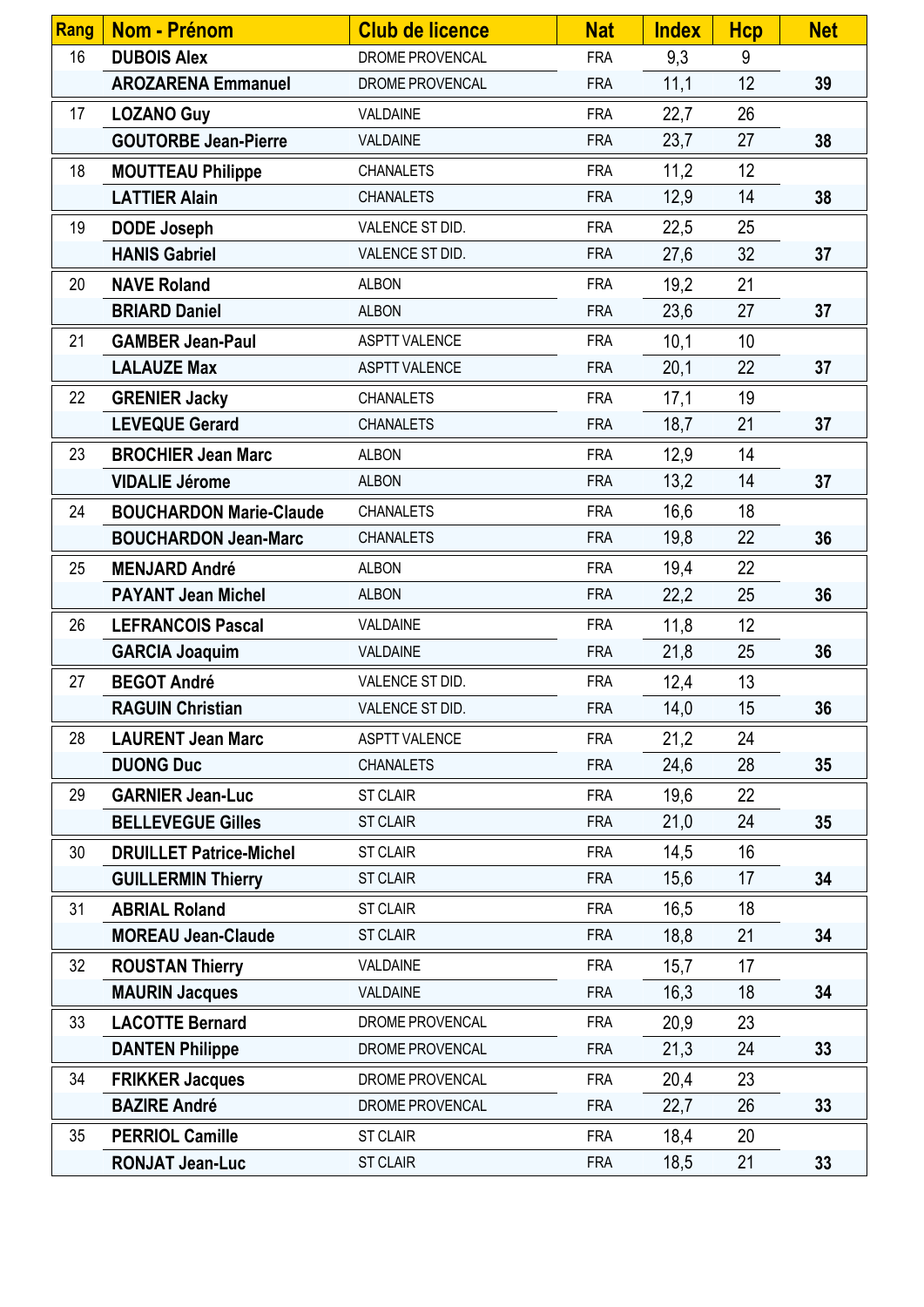| <b>Rang</b> | <b>Nom - Prénom</b>            | <b>Club de licence</b> | <b>Nat</b> | <b>Index</b> | <b>Hcp</b> | <b>Net</b>      |
|-------------|--------------------------------|------------------------|------------|--------------|------------|-----------------|
| 16          | <b>DUBOIS Alex</b>             | DROME PROVENCAL        | <b>FRA</b> | 9,3          | 9          |                 |
|             | <b>AROZARENA Emmanuel</b>      | DROME PROVENCAL        | <b>FRA</b> | 11,1         | 12         | 39              |
| 17          | <b>LOZANO Guy</b>              | VALDAINE               | <b>FRA</b> | 22,7         | 26         |                 |
|             | <b>GOUTORBE Jean-Pierre</b>    | VALDAINE               | <b>FRA</b> | 23,7         | 27         | 38              |
| 18          | <b>MOUTTEAU Philippe</b>       | <b>CHANALETS</b>       | <b>FRA</b> | 11,2         | 12         |                 |
|             | <b>LATTIER Alain</b>           | <b>CHANALETS</b>       | <b>FRA</b> | 12,9         | 14         | 38              |
| 19          | <b>DODE Joseph</b>             | VALENCE ST DID.        | <b>FRA</b> | 22,5         | 25         |                 |
|             | <b>HANIS Gabriel</b>           | VALENCE ST DID.        | <b>FRA</b> | 27,6         | 32         | 37              |
| 20          | <b>NAVE Roland</b>             | <b>ALBON</b>           | <b>FRA</b> | 19,2         | 21         |                 |
|             | <b>BRIARD Daniel</b>           | <b>ALBON</b>           | <b>FRA</b> | 23,6         | 27         | 37              |
| 21          | <b>GAMBER Jean-Paul</b>        | <b>ASPTT VALENCE</b>   | <b>FRA</b> | 10,1         | 10         |                 |
|             | <b>LALAUZE Max</b>             | <b>ASPTT VALENCE</b>   | <b>FRA</b> | 20,1         | 22         | 37              |
| 22          | <b>GRENIER Jacky</b>           | <b>CHANALETS</b>       | <b>FRA</b> | 17,1         | 19         |                 |
|             | <b>LEVEQUE Gerard</b>          | <b>CHANALETS</b>       | <b>FRA</b> | 18,7         | 21         | 37              |
| 23          | <b>BROCHIER Jean Marc</b>      | <b>ALBON</b>           | <b>FRA</b> | 12,9         | 14         |                 |
|             | <b>VIDALIE Jérome</b>          | <b>ALBON</b>           | <b>FRA</b> | 13,2         | 14         | 37              |
| 24          | <b>BOUCHARDON Marie-Claude</b> | <b>CHANALETS</b>       | <b>FRA</b> | 16,6         | 18         |                 |
|             | <b>BOUCHARDON Jean-Marc</b>    | <b>CHANALETS</b>       | <b>FRA</b> | 19,8         | 22         | 36              |
| 25          | <b>MENJARD André</b>           | <b>ALBON</b>           | <b>FRA</b> | 19,4         | 22         |                 |
|             | <b>PAYANT Jean Michel</b>      | <b>ALBON</b>           | <b>FRA</b> | 22,2         | 25         | 36              |
| 26          | <b>LEFRANCOIS Pascal</b>       | VALDAINE               | <b>FRA</b> | 11,8         | 12         |                 |
|             | <b>GARCIA Joaquim</b>          | VALDAINE               | <b>FRA</b> | 21,8         | 25         | 36              |
| 27          | <b>BEGOT André</b>             | VALENCE ST DID.        | <b>FRA</b> | 12,4         | 13         |                 |
|             | <b>RAGUIN Christian</b>        | VALENCE ST DID.        | <b>FRA</b> | 14,0         | 15         | 36              |
| 28          | <b>LAURENT Jean Marc</b>       | <b>ASPTT VALENCE</b>   | <b>FRA</b> | 21,2         | 24         |                 |
|             | <b>DUONG Duc</b>               | <b>CHANALETS</b>       | <b>FRA</b> | 24,6         | 28         | 35 <sub>5</sub> |
| 29          | <b>GARNIER Jean-Luc</b>        | <b>ST CLAIR</b>        | <b>FRA</b> | 19,6         | 22         |                 |
|             | <b>BELLEVEGUE Gilles</b>       | <b>ST CLAIR</b>        | <b>FRA</b> | 21,0         | 24         | 35 <sub>5</sub> |
| 30          | <b>DRUILLET Patrice-Michel</b> | <b>ST CLAIR</b>        | <b>FRA</b> | 14,5         | 16         |                 |
|             | <b>GUILLERMIN Thierry</b>      | <b>ST CLAIR</b>        | <b>FRA</b> | 15,6         | 17         | 34              |
| 31          | <b>ABRIAL Roland</b>           | <b>ST CLAIR</b>        | <b>FRA</b> | 16,5         | 18         |                 |
|             | <b>MOREAU Jean-Claude</b>      | <b>ST CLAIR</b>        | <b>FRA</b> | 18,8         | 21         | 34              |
| 32          | <b>ROUSTAN Thierry</b>         | VALDAINE               | <b>FRA</b> | 15,7         | 17         |                 |
|             | <b>MAURIN Jacques</b>          | VALDAINE               | <b>FRA</b> | 16,3         | 18         | 34              |
| 33          | <b>LACOTTE Bernard</b>         | DROME PROVENCAL        | <b>FRA</b> | 20,9         | 23         |                 |
|             | <b>DANTEN Philippe</b>         | DROME PROVENCAL        | <b>FRA</b> | 21,3         | 24         | 33 <sup>2</sup> |
| 34          | <b>FRIKKER Jacques</b>         | DROME PROVENCAL        | <b>FRA</b> | 20,4         | 23         |                 |
|             | <b>BAZIRE André</b>            | DROME PROVENCAL        | <b>FRA</b> | 22,7         | 26         | 33 <sup>2</sup> |
| 35          | <b>PERRIOL Camille</b>         | <b>ST CLAIR</b>        | <b>FRA</b> | 18,4         | 20         |                 |
|             | <b>RONJAT Jean-Luc</b>         | <b>ST CLAIR</b>        | <b>FRA</b> | 18,5         | 21         | 33 <sup>2</sup> |